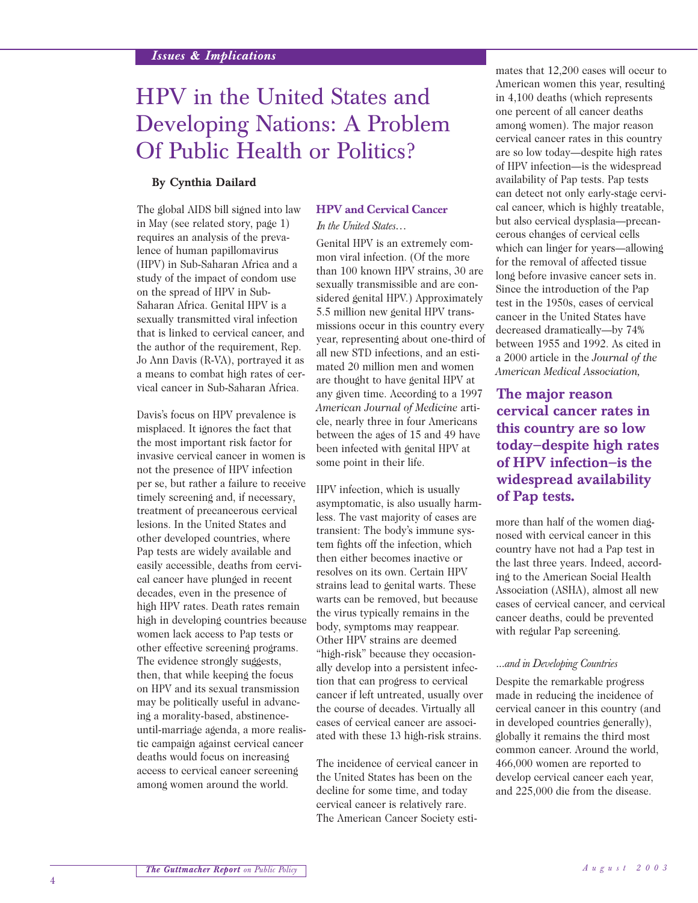# HPV in the United States and Developing Nations: A Problem Of Public Health or Politics?

## **By Cynthia Dailard**

The global AIDS bill signed into law in May (see related story, page 1) requires an analysis of the prevalence of human papillomavirus (HPV) in Sub-Saharan Africa and a study of the impact of condom use on the spread of HPV in Sub-Saharan Africa. Genital HPV is a sexually transmitted viral infection that is linked to cervical cancer, and the author of the requirement, Rep. Jo Ann Davis (R-VA), portrayed it as a means to combat high rates of cervical cancer in Sub-Saharan Africa.

Davis's focus on HPV prevalence is misplaced. It ignores the fact that the most important risk factor for invasive cervical cancer in women is not the presence of HPV infection per se, but rather a failure to receive timely screening and, if necessary, treatment of precancerous cervical lesions. In the United States and other developed countries, where Pap tests are widely available and easily accessible, deaths from cervical cancer have plunged in recent decades, even in the presence of high HPV rates. Death rates remain high in developing countries because women lack access to Pap tests or other effective screening programs. The evidence strongly suggests, then, that while keeping the focus on HPV and its sexual transmission may be politically useful in advancing a morality-based, abstinenceuntil-marriage agenda, a more realistic campaign against cervical cancer deaths would focus on increasing access to cervical cancer screening among women around the world.

#### **HPV and Cervical Cancer**  *In the United States…*

Genital HPV is an extremely common viral infection. (Of the more than 100 known HPV strains, 30 are sexually transmissible and are considered genital HPV.) Approximately 5.5 million new genital HPV transmissions occur in this country every year, representing about one-third of all new STD infections, and an estimated 20 million men and women are thought to have genital HPV at any given time. According to a 1997 *American Journal of Medicine* article, nearly three in four Americans between the ages of 15 and 49 have been infected with genital HPV at some point in their life.

HPV infection, which is usually asymptomatic, is also usually harmless. The vast majority of cases are transient: The body's immune system fights off the infection, which then either becomes inactive or resolves on its own. Certain HPV strains lead to genital warts. These warts can be removed, but because the virus typically remains in the body, symptoms may reappear. Other HPV strains are deemed "high-risk" because they occasionally develop into a persistent infection that can progress to cervical cancer if left untreated, usually over the course of decades. Virtually all cases of cervical cancer are associated with these 13 high-risk strains.

The incidence of cervical cancer in the United States has been on the decline for some time, and today cervical cancer is relatively rare. The American Cancer Society estimates that 12,200 cases will occur to American women this year, resulting in 4,100 deaths (which represents one percent of all cancer deaths among women). The major reason cervical cancer rates in this country are so low today—despite high rates of HPV infection—is the widespread availability of Pap tests. Pap tests can detect not only early-stage cervical cancer, which is highly treatable, but also cervical dysplasia—precancerous changes of cervical cells which can linger for years—allowing for the removal of affected tissue long before invasive cancer sets in. Since the introduction of the Pap test in the 1950s, cases of cervical cancer in the United States have decreased dramatically—by 74% between 1955 and 1992. As cited in a 2000 article in the *Journal of the American Medical Association,*

# **The major reason cervical cancer rates in this country are so low today—despite high rates of HPV infection—is the widespread availability of Pap tests.**

more than half of the women diagnosed with cervical cancer in this country have not had a Pap test in the last three years. Indeed, according to the American Social Health Association (ASHA), almost all new cases of cervical cancer, and cervical cancer deaths, could be prevented with regular Pap screening.

#### *...and in Developing Countries*

Despite the remarkable progress made in reducing the incidence of cervical cancer in this country (and in developed countries generally), globally it remains the third most common cancer. Around the world, 466,000 women are reported to develop cervical cancer each year, and 225,000 die from the disease.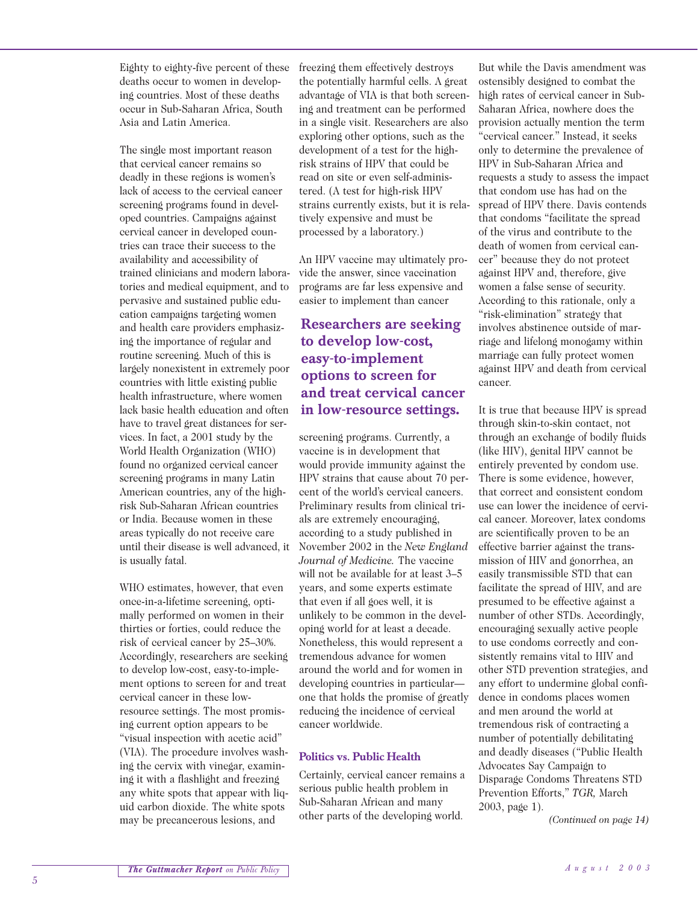Eighty to eighty-five percent of these deaths occur to women in developing countries. Most of these deaths occur in Sub-Saharan Africa, South Asia and Latin America.

The single most important reason that cervical cancer remains so deadly in these regions is women's lack of access to the cervical cancer screening programs found in developed countries. Campaigns against cervical cancer in developed countries can trace their success to the availability and accessibility of trained clinicians and modern laboratories and medical equipment, and to pervasive and sustained public education campaigns targeting women and health care providers emphasizing the importance of regular and routine screening. Much of this is largely nonexistent in extremely poor countries with little existing public health infrastructure, where women lack basic health education and often have to travel great distances for services. In fact, a 2001 study by the World Health Organization (WHO) found no organized cervical cancer screening programs in many Latin American countries, any of the highrisk Sub-Saharan African countries or India. Because women in these areas typically do not receive care until their disease is well advanced, it is usually fatal.

WHO estimates, however, that even once-in-a-lifetime screening, optimally performed on women in their thirties or forties, could reduce the risk of cervical cancer by 25–30%. Accordingly, researchers are seeking to develop low-cost, easy-to-implement options to screen for and treat cervical cancer in these lowresource settings. The most promising current option appears to be "visual inspection with acetic acid" (VIA). The procedure involves washing the cervix with vinegar, examining it with a flashlight and freezing any white spots that appear with liquid carbon dioxide. The white spots may be precancerous lesions, and

freezing them effectively destroys the potentially harmful cells. A great advantage of VIA is that both screening and treatment can be performed in a single visit. Researchers are also exploring other options, such as the development of a test for the highrisk strains of HPV that could be read on site or even self-administered. (A test for high-risk HPV strains currently exists, but it is relatively expensive and must be processed by a laboratory.)

An HPV vaccine may ultimately provide the answer, since vaccination programs are far less expensive and easier to implement than cancer

# **Researchers are seeking to develop low-cost, easy-to-implement options to screen for and treat cervical cancer in low-resource settings.**

screening programs. Currently, a vaccine is in development that would provide immunity against the HPV strains that cause about 70 percent of the world's cervical cancers. Preliminary results from clinical trials are extremely encouraging, according to a study published in November 2002 in the *New England Journal of Medicine.* The vaccine will not be available for at least 3–5 years, and some experts estimate that even if all goes well, it is unlikely to be common in the developing world for at least a decade. Nonetheless, this would represent a tremendous advance for women around the world and for women in developing countries in particular one that holds the promise of greatly reducing the incidence of cervical cancer worldwide.

## **Politics vs. Public Health**

Certainly, cervical cancer remains a serious public health problem in Sub-Saharan African and many other parts of the developing world.

But while the Davis amendment was ostensibly designed to combat the high rates of cervical cancer in Sub-Saharan Africa, nowhere does the provision actually mention the term "cervical cancer." Instead, it seeks only to determine the prevalence of HPV in Sub-Saharan Africa and requests a study to assess the impact that condom use has had on the spread of HPV there. Davis contends that condoms "facilitate the spread of the virus and contribute to the death of women from cervical cancer" because they do not protect against HPV and, therefore, give women a false sense of security. According to this rationale, only a "risk-elimination" strategy that involves abstinence outside of marriage and lifelong monogamy within marriage can fully protect women against HPV and death from cervical cancer.

It is true that because HPV is spread through skin-to-skin contact, not through an exchange of bodily fluids (like HIV), genital HPV cannot be entirely prevented by condom use. There is some evidence, however, that correct and consistent condom use can lower the incidence of cervical cancer. Moreover, latex condoms are scientifically proven to be an effective barrier against the transmission of HIV and gonorrhea, an easily transmissible STD that can facilitate the spread of HIV, and are presumed to be effective against a number of other STDs. Accordingly, encouraging sexually active people to use condoms correctly and consistently remains vital to HIV and other STD prevention strategies, and any effort to undermine global confidence in condoms places women and men around the world at tremendous risk of contracting a number of potentially debilitating and deadly diseases ("Public Health Advocates Say Campaign to Disparage Condoms Threatens STD Prevention Efforts," *TGR,* March 2003, page 1).

*(Continued on page 14)*